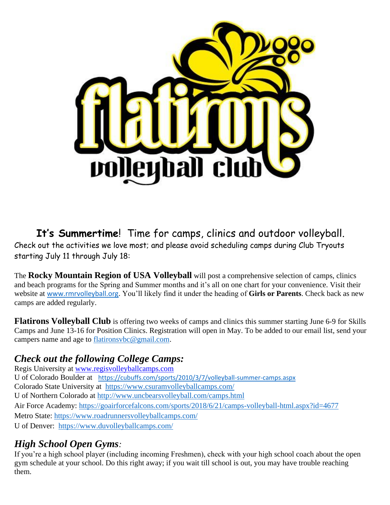

**It's Summertime**! Time for camps, clinics and outdoor volleyball. Check out the activities we love most; and please avoid scheduling camps during Club Tryouts

starting July 11 through July 18:

The **Rocky Mountain Region of USA Volleyball** will post a comprehensive selection of camps, clinics and beach programs for the Spring and Summer months and it's all on one chart for your convenience. Visit their website at www.rmrvolleyball.org. You'll likely find it under the heading of **Girls or Parents**. Check back as new camps are added regularly.

**Flatirons Volleyball Club** is offering two weeks of camps and clinics this summer starting June 6-9 for Skills Camps and June 13-16 for Position Clinics. Registration will open in May. To be added to our email list, send your campers name and age to flatironsvbc@gmail.com.

# *Check out the following College Camps:*

Regis University at www.regisvolleyballcamps.com U of Colorado Boulder at https://cubuffs.com/sports/2010/3/7/volleyball-summer-camps.aspx Colorado State University at https://www.csuramvolleyballcamps.com/ U of Northern Colorado at http://www.uncbearsvolleyball.com/camps.html Air Force Academy: https://goairforcefalcons.com/sports/2018/6/21/camps-volleyball-html.aspx?id=4677 Metro State: https://www.roadrunnersvolleyballcamps.com/ U of Denver: https://www.duvolleyballcamps.com/

# *High School Open Gyms:*

If you're a high school player (including incoming Freshmen), check with your high school coach about the open gym schedule at your school. Do this right away; if you wait till school is out, you may have trouble reaching them.